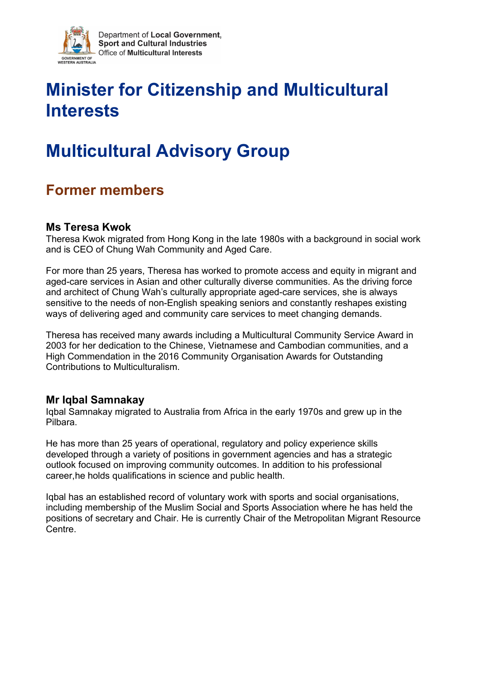

# **Minister for Citizenship and Multicultural Interests**

# **Multicultural Advisory Group**

# **Former members**

#### **Ms Teresa Kwok**

Theresa Kwok migrated from Hong Kong in the late 1980s with a background in social work and is CEO of Chung Wah Community and Aged Care.

For more than 25 years, Theresa has worked to promote access and equity in migrant and aged-care services in Asian and other culturally diverse communities. As the driving force and architect of Chung Wah's culturally appropriate aged-care services, she is always sensitive to the needs of non-English speaking seniors and constantly reshapes existing ways of delivering aged and community care services to meet changing demands.

Theresa has received many awards including a Multicultural Community Service Award in 2003 for her dedication to the Chinese, Vietnamese and Cambodian communities, and a High Commendation in the 2016 Community Organisation Awards for Outstanding Contributions to Multiculturalism.

#### **Mr Iqbal Samnakay**

Iqbal Samnakay migrated to Australia from Africa in the early 1970s and grew up in the Pilbara.

He has more than 25 years of operational, regulatory and policy experience skills developed through a variety of positions in government agencies and has a strategic outlook focused on improving community outcomes. In addition to his professional career,he holds qualifications in science and public health.

Iqbal has an established record of voluntary work with sports and social organisations, including membership of the Muslim Social and Sports Association where he has held the positions of secretary and Chair. He is currently Chair of the Metropolitan Migrant Resource Centre.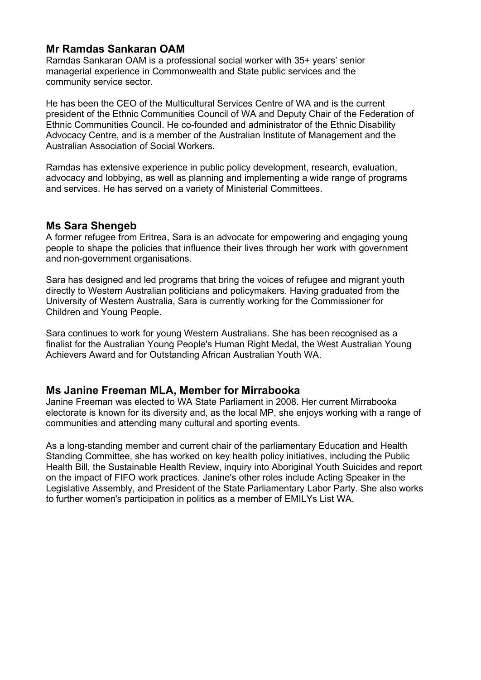# **Mr Ramdas Sankaran OAM**

Ramdas Sankaran OAM is a professional social worker with 35+ years' senior managerial experience in Commonwealth and State public services and the community service sector.

He has been the CEO of the Multicultural Services Centre of WA and is the current president of the Ethnic Communities Council of WA and Deputy Chair of the Federation of Ethnic Communities Council. He co-founded and administrator of the Ethnic Disability Advocacy Centre, and is a member of the Australian Institute of Management and the Australian Association of Social Workers.

Ramdas has extensive experience in public policy development, research, evaluation, advocacy and lobbying, as well as planning and implementing a wide range of programs and services. He has served on a variety of Ministerial Committees.

#### **Ms Sara Shengeb**

A former refugee from Eritrea, Sara is an advocate for empowering and engaging young people to shape the policies that influence their lives through her work with government and non-government organisations.

Sara has designed and led programs that bring the voices of refugee and migrant youth directly to Western Australian politicians and policymakers. Having graduated from the University of Western Australia, Sara is currently working for the Commissioner for Children and Young People.

Sara continues to work for young Western Australians. She has been recognised as a finalist for the Australian Young People's Human Right Medal, the West Australian Young Achievers Award and for Outstanding African Australian Youth WA.

#### **Ms Janine Freeman MLA, Member for Mirrabooka**

Janine Freeman was elected to WA State Parliament in 2008. Her current Mirrabooka electorate is known for its diversity and, as the local MP, she enjoys working with a range of communities and attending many cultural and sporting events.

As a long-standing member and current chair of the parliamentary Education and Health Standing Committee, she has worked on key health policy initiatives, including the Public Health Bill, the Sustainable Health Review, inquiry into Aboriginal Youth Suicides and report on the impact of FIFO work practices. Janine's other roles include Acting Speaker in the Legislative Assembly, and President of the State Parliamentary Labor Party. She also works to further women's participation in politics as a member of EMILYs List WA.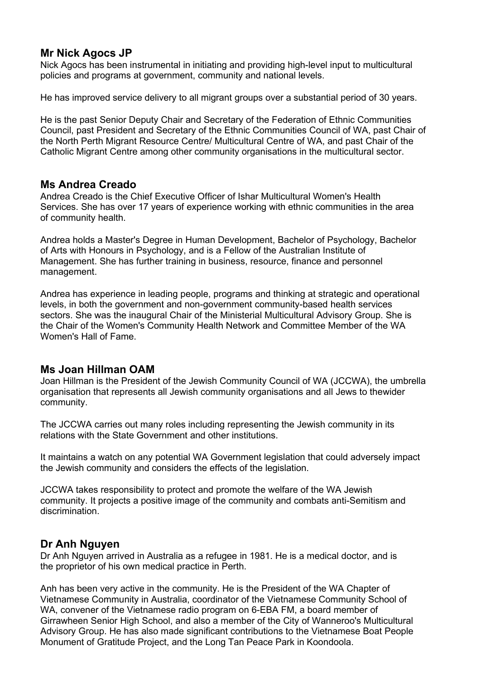### **Mr Nick Agocs JP**

Nick Agocs has been instrumental in initiating and providing high-level input to multicultural policies and programs at government, community and national levels.

He has improved service delivery to all migrant groups over a substantial period of 30 years.

He is the past Senior Deputy Chair and Secretary of the Federation of Ethnic Communities Council, past President and Secretary of the Ethnic Communities Council of WA, past Chair of the North Perth Migrant Resource Centre/ Multicultural Centre of WA, and past Chair of the Catholic Migrant Centre among other community organisations in the multicultural sector.

#### **Ms Andrea Creado**

Andrea Creado is the Chief Executive Officer of Ishar Multicultural Women's Health Services. She has over 17 years of experience working with ethnic communities in the area of community health.

Andrea holds a Master's Degree in Human Development, Bachelor of Psychology, Bachelor of Arts with Honours in Psychology, and is a Fellow of the Australian Institute of Management. She has further training in business, resource, finance and personnel management.

Andrea has experience in leading people, programs and thinking at strategic and operational levels, in both the government and non-government community-based health services sectors. She was the inaugural Chair of the Ministerial Multicultural Advisory Group. She is the Chair of the Women's Community Health Network and Committee Member of the WA Women's Hall of Fame.

#### **Ms Joan Hillman OAM**

Joan Hillman is the President of the Jewish Community Council of WA (JCCWA), the umbrella organisation that represents all Jewish community organisations and all Jews to thewider community.

The JCCWA carries out many roles including representing the Jewish community in its relations with the State Government and other institutions.

It maintains a watch on any potential WA Government legislation that could adversely impact the Jewish community and considers the effects of the legislation.

JCCWA takes responsibility to protect and promote the welfare of the WA Jewish community. It projects a positive image of the community and combats anti-Semitism and discrimination.

# **Dr Anh Nguyen**

Dr Anh Nguyen arrived in Australia as a refugee in 1981. He is a medical doctor, and is the proprietor of his own medical practice in Perth.

Anh has been very active in the community. He is the President of the WA Chapter of Vietnamese Community in Australia, coordinator of the Vietnamese Community School of WA, convener of the Vietnamese radio program on 6-EBA FM, a board member of Girrawheen Senior High School, and also a member of the City of Wanneroo's Multicultural Advisory Group. He has also made significant contributions to the Vietnamese Boat People Monument of Gratitude Project, and the Long Tan Peace Park in Koondoola.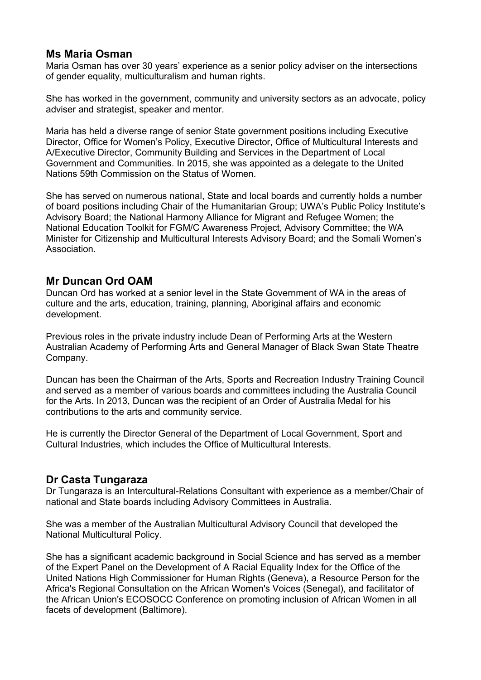#### **Ms Maria Osman**

Maria Osman has over 30 years' experience as a senior policy adviser on the intersections of gender equality, multiculturalism and human rights.

She has worked in the government, community and university sectors as an advocate, policy adviser and strategist, speaker and mentor.

Maria has held a diverse range of senior State government positions including Executive Director, Office for Women's Policy, Executive Director, Office of Multicultural Interests and A/Executive Director, Community Building and Services in the Department of Local Government and Communities. In 2015, she was appointed as a delegate to the United Nations 59th Commission on the Status of Women.

She has served on numerous national, State and local boards and currently holds a number of board positions including Chair of the Humanitarian Group; UWA's Public Policy Institute's Advisory Board; the National Harmony Alliance for Migrant and Refugee Women; the National Education Toolkit for FGM/C Awareness Project, Advisory Committee; the WA Minister for Citizenship and Multicultural Interests Advisory Board; and the Somali Women's **Association** 

#### **Mr Duncan Ord OAM**

Duncan Ord has worked at a senior level in the State Government of WA in the areas of culture and the arts, education, training, planning, Aboriginal affairs and economic development.

Previous roles in the private industry include Dean of Performing Arts at the Western Australian Academy of Performing Arts and General Manager of Black Swan State Theatre Company.

Duncan has been the Chairman of the Arts, Sports and Recreation Industry Training Council and served as a member of various boards and committees including the Australia Council for the Arts. In 2013, Duncan was the recipient of an Order of Australia Medal for his contributions to the arts and community service.

He is currently the Director General of the Department of Local Government, Sport and Cultural Industries, which includes the Office of Multicultural Interests.

#### **Dr Casta Tungaraza**

Dr Tungaraza is an Intercultural-Relations Consultant with experience as a member/Chair of national and State boards including Advisory Committees in Australia.

She was a member of the Australian Multicultural Advisory Council that developed the National Multicultural Policy.

She has a significant academic background in Social Science and has served as a member of the Expert Panel on the Development of A Racial Equality Index for the Office of the United Nations High Commissioner for Human Rights (Geneva), a Resource Person for the Africa's Regional Consultation on the African Women's Voices (Senegal), and facilitator of the African Union's ECOSOCC Conference on promoting inclusion of African Women in all facets of development (Baltimore).